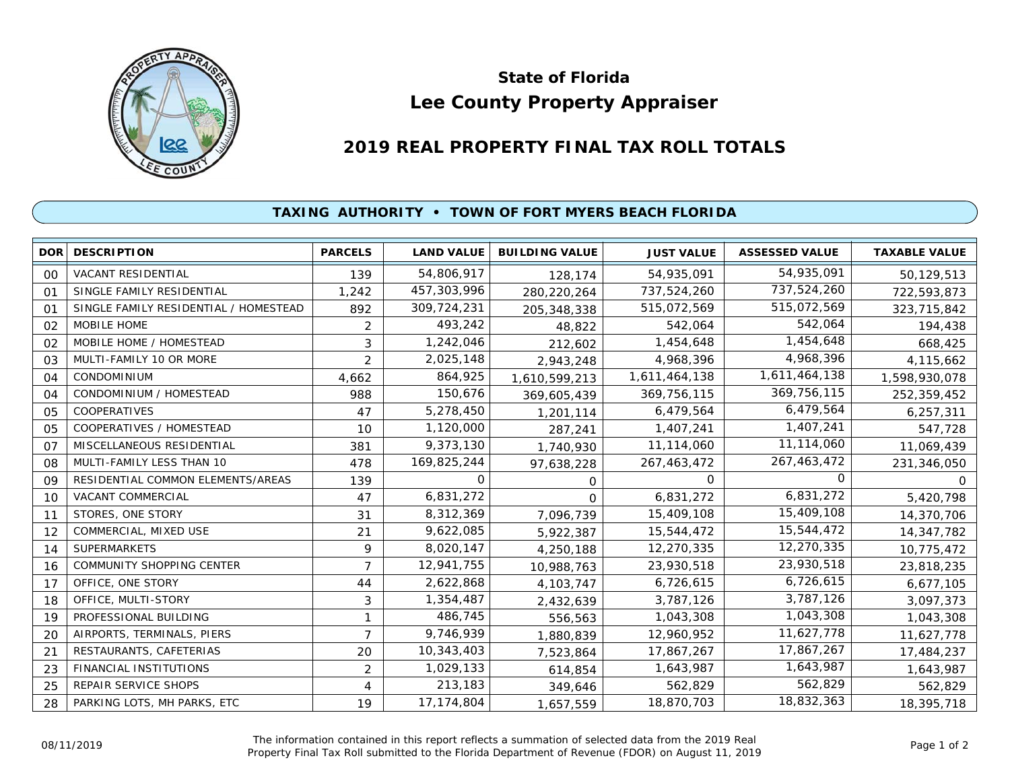

## **Lee County Property Appraiser State of Florida**

## **2019 REAL PROPERTY FINAL TAX ROLL TOTALS**

## **TAXING AUTHORITY • TOWN OF FORT MYERS BEACH FLORIDA**

| <b>DOR</b>     | <b>DESCRIPTION</b>                    | <b>PARCELS</b> | <b>LAND VALUE</b> | <b>BUILDING VALUE</b> | <b>JUST VALUE</b> | <b>ASSESSED VALUE</b> | <b>TAXABLE VALUE</b> |
|----------------|---------------------------------------|----------------|-------------------|-----------------------|-------------------|-----------------------|----------------------|
| 00             | <b>VACANT RESIDENTIAL</b>             | 139            | 54,806,917        | 128,174               | 54,935,091        | 54,935,091            | 50,129,513           |
| 01             | SINGLE FAMILY RESIDENTIAL             | 1,242          | 457,303,996       | 280,220,264           | 737,524,260       | 737,524,260           | 722,593,873          |
| 01             | SINGLE FAMILY RESIDENTIAL / HOMESTEAD | 892            | 309,724,231       | 205, 348, 338         | 515,072,569       | 515,072,569           | 323,715,842          |
| 02             | MOBILE HOME                           | 2              | 493,242           | 48,822                | 542,064           | 542,064               | 194,438              |
| 02             | MOBILE HOME / HOMESTEAD               | 3              | 1,242,046         | 212,602               | 1,454,648         | 1,454,648             | 668,425              |
| 03             | MULTI-FAMILY 10 OR MORE               | $\overline{2}$ | 2,025,148         | 2,943,248             | 4,968,396         | 4,968,396             | 4,115,662            |
| 04             | CONDOMINIUM                           | 4,662          | 864,925           | 1,610,599,213         | 1,611,464,138     | 1,611,464,138         | 1,598,930,078        |
| 04             | CONDOMINIUM / HOMESTEAD               | 988            | 150,676           | 369,605,439           | 369,756,115       | 369,756,115           | 252,359,452          |
| 05             | COOPERATIVES                          | 47             | 5,278,450         | 1,201,114             | 6,479,564         | 6,479,564             | 6,257,311            |
| 05             | COOPERATIVES / HOMESTEAD              | 10             | 1,120,000         | 287,241               | 1,407,241         | 1,407,241             | 547,728              |
| O <sub>7</sub> | MISCELLANEOUS RESIDENTIAL             | 381            | 9,373,130         | 1,740,930             | 11,114,060        | 11,114,060            | 11,069,439           |
| 08             | MULTI-FAMILY LESS THAN 10             | 478            | 169,825,244       | 97,638,228            | 267,463,472       | 267,463,472           | 231,346,050          |
| 09             | RESIDENTIAL COMMON ELEMENTS/AREAS     | 139            | 0                 | 0                     | 0                 | 0                     | 0                    |
| 10             | <b>VACANT COMMERCIAL</b>              | 47             | 6,831,272         | 0                     | 6,831,272         | 6,831,272             | 5,420,798            |
| 11             | STORES, ONE STORY                     | 31             | 8,312,369         | 7,096,739             | 15,409,108        | 15,409,108            | 14,370,706           |
| 12             | COMMERCIAL, MIXED USE                 | 21             | 9,622,085         | 5,922,387             | 15,544,472        | 15,544,472            | 14,347,782           |
| 14             | <b>SUPERMARKETS</b>                   | 9              | 8,020,147         | 4,250,188             | 12,270,335        | 12,270,335            | 10,775,472           |
| 16             | COMMUNITY SHOPPING CENTER             | $\overline{7}$ | 12,941,755        | 10,988,763            | 23,930,518        | 23,930,518            | 23,818,235           |
| 17             | OFFICE, ONE STORY                     | 44             | 2,622,868         | 4, 103, 747           | 6,726,615         | 6,726,615             | 6,677,105            |
| 18             | OFFICE, MULTI-STORY                   | 3              | 1,354,487         | 2,432,639             | 3,787,126         | 3,787,126             | 3,097,373            |
| 19             | PROFESSIONAL BUILDING                 |                | 486,745           | 556,563               | 1,043,308         | 1,043,308             | 1,043,308            |
| 20             | AIRPORTS, TERMINALS, PIERS            | $\overline{7}$ | 9,746,939         | 1,880,839             | 12,960,952        | 11,627,778            | 11,627,778           |
| 21             | RESTAURANTS, CAFETERIAS               | 20             | 10,343,403        | 7,523,864             | 17,867,267        | 17,867,267            | 17,484,237           |
| 23             | <b>FINANCIAL INSTITUTIONS</b>         | $\overline{c}$ | 1,029,133         | 614,854               | 1,643,987         | 1,643,987             | 1,643,987            |
| 25             | REPAIR SERVICE SHOPS                  | 4              | 213,183           | 349,646               | 562,829           | 562,829               | 562,829              |
| 28             | PARKING LOTS, MH PARKS, ETC           | 19             | 17,174,804        | 1,657,559             | 18,870,703        | 18,832,363            | 18,395,718           |